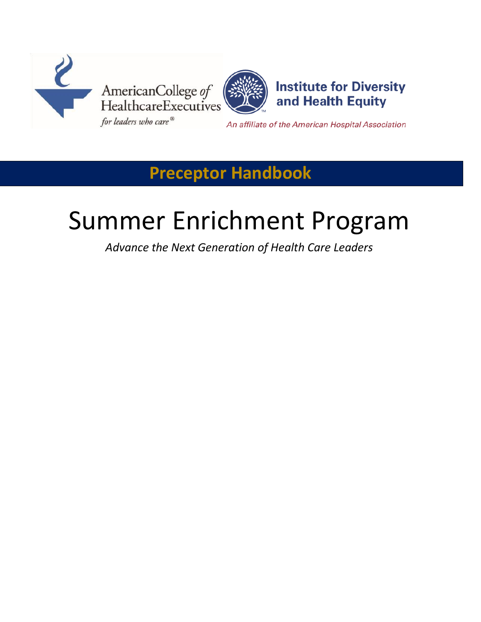



**Institute for Diversity** and Health Equity

An affiliate of the American Hospital Association

## **Preceptor Handbook**

# Summer Enrichment Program

*Advance the Next Generation of Health Care Leaders*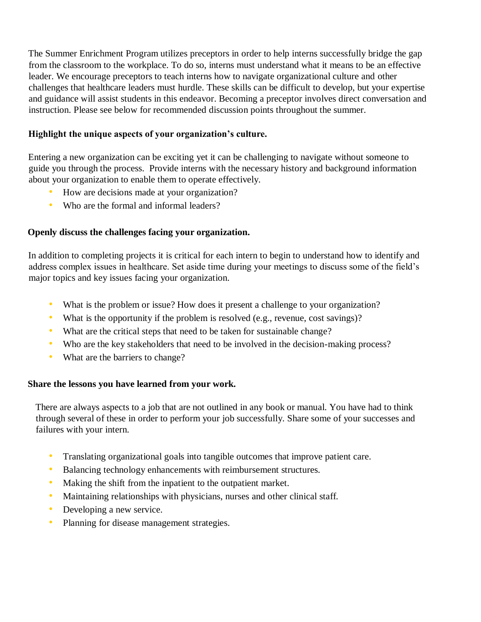The Summer Enrichment Program utilizes preceptors in order to help interns successfully bridge the gap from the classroom to the workplace. To do so, interns must understand what it means to be an effective leader. We encourage preceptors to teach interns how to navigate organizational culture and other challenges that healthcare leaders must hurdle. These skills can be difficult to develop, but your expertise and guidance will assist students in this endeavor. Becoming a preceptor involves direct conversation and instruction. Please see below for recommended discussion points throughout the summer.

### **Highlight the unique aspects of your organization's culture.**

Entering a new organization can be exciting yet it can be challenging to navigate without someone to guide you through the process. Provide interns with the necessary history and background information about your organization to enable them to operate effectively.

- How are decisions made at your organization?
- Who are the formal and informal leaders?

### **Openly discuss the challenges facing your organization.**

In addition to completing projects it is critical for each intern to begin to understand how to identify and address complex issues in healthcare. Set aside time during your meetings to discuss some of the field's major topics and key issues facing your organization.

- What is the problem or issue? How does it present a challenge to your organization?
- What is the opportunity if the problem is resolved (e.g., revenue, cost savings)?
- What are the critical steps that need to be taken for sustainable change?
- Who are the key stakeholders that need to be involved in the decision-making process?
- What are the barriers to change?

#### **Share the lessons you have learned from your work.**

There are always aspects to a job that are not outlined in any book or manual. You have had to think through several of these in order to perform your job successfully. Share some of your successes and failures with your intern.

- Translating organizational goals into tangible outcomes that improve patient care.
- Balancing technology enhancements with reimbursement structures.
- Making the shift from the inpatient to the outpatient market.
- Maintaining relationships with physicians, nurses and other clinical staff.
- Developing a new service.
- Planning for disease management strategies.